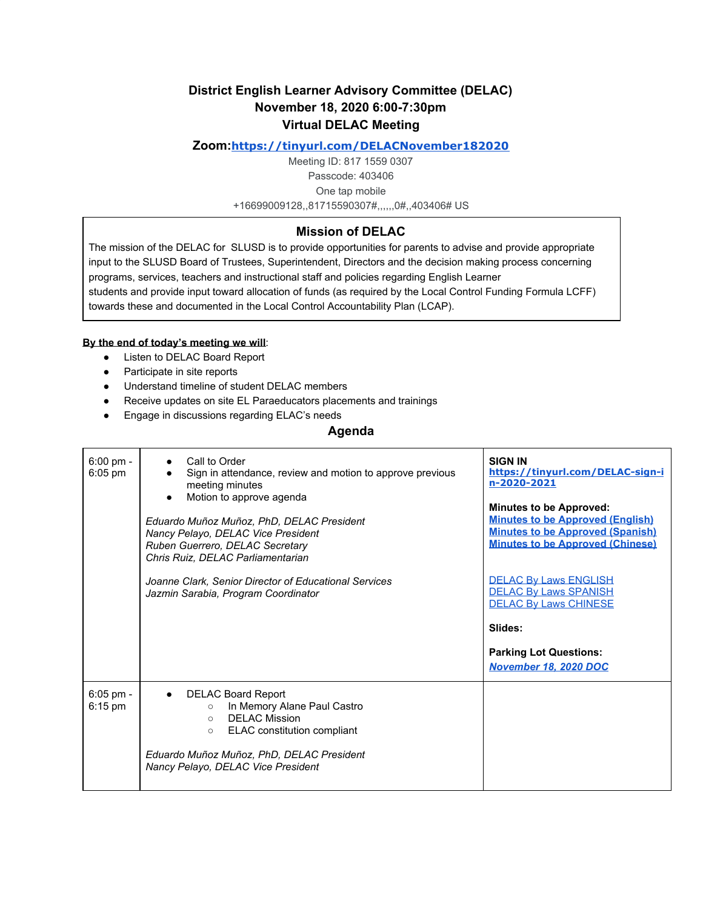# **District English Learner Advisory Committee (DELAC) November 18, 2020 6:00-7:30pm Virtual DELAC Meeting**

### **Zoom:<https://tinyurl.com/DELACNovember182020>**

Meeting ID: 817 1559 0307 Passcode: 403406 One tap mobile +16699009128,,81715590307#,,,,,,0#,,403406# US

## **Mission of DELAC**

The mission of the DELAC for SLUSD is to provide opportunities for parents to advise and provide appropriate input to the SLUSD Board of Trustees, Superintendent, Directors and the decision making process concerning programs, services, teachers and instructional staff and policies regarding English Learner students and provide input toward allocation of funds (as required by the Local Control Funding Formula LCFF) towards these and documented in the Local Control Accountability Plan (LCAP).

#### **By the end of today's meeting we will**:

- Listen to DELAC Board Report
- Participate in site reports
- Understand timeline of student DELAC members
- Receive updates on site EL Paraeducators placements and trainings
- Engage in discussions regarding ELAC's needs

### **Agenda**

| $6:00 \text{ pm} -$<br>$6:05$ pm | • Call to Order<br>Sign in attendance, review and motion to approve previous<br>meeting minutes<br>Motion to approve agenda<br>Eduardo Muñoz Muñoz, PhD, DELAC President<br>Nancy Pelayo, DELAC Vice President<br>Ruben Guerrero, DELAC Secretary<br>Chris Ruiz, DELAC Parliamentarian<br>Joanne Clark, Senior Director of Educational Services<br>Jazmin Sarabia, Program Coordinator | <b>SIGN IN</b><br>https://tinyurl.com/DELAC-sign-i<br>n-2020-2021<br><b>Minutes to be Approved:</b><br><b>Minutes to be Approved (English)</b><br><b>Minutes to be Approved (Spanish)</b><br><b>Minutes to be Approved (Chinese)</b><br><b>DELAC By Laws ENGLISH</b><br><b>DELAC By Laws SPANISH</b><br><b>DELAC By Laws CHINESE</b> |
|----------------------------------|----------------------------------------------------------------------------------------------------------------------------------------------------------------------------------------------------------------------------------------------------------------------------------------------------------------------------------------------------------------------------------------|--------------------------------------------------------------------------------------------------------------------------------------------------------------------------------------------------------------------------------------------------------------------------------------------------------------------------------------|
|                                  |                                                                                                                                                                                                                                                                                                                                                                                        | Slides:<br><b>Parking Lot Questions:</b><br>November 18, 2020 DOC                                                                                                                                                                                                                                                                    |
| 6:05 pm -<br>$6:15$ pm           | <b>DELAC Board Report</b><br>In Memory Alane Paul Castro<br>$\circ$<br><b>DELAC Mission</b><br>$\circ$<br>ELAC constitution compliant<br>$\circ$<br>Eduardo Muñoz Muñoz, PhD, DELAC President<br>Nancy Pelayo, DELAC Vice President                                                                                                                                                    |                                                                                                                                                                                                                                                                                                                                      |